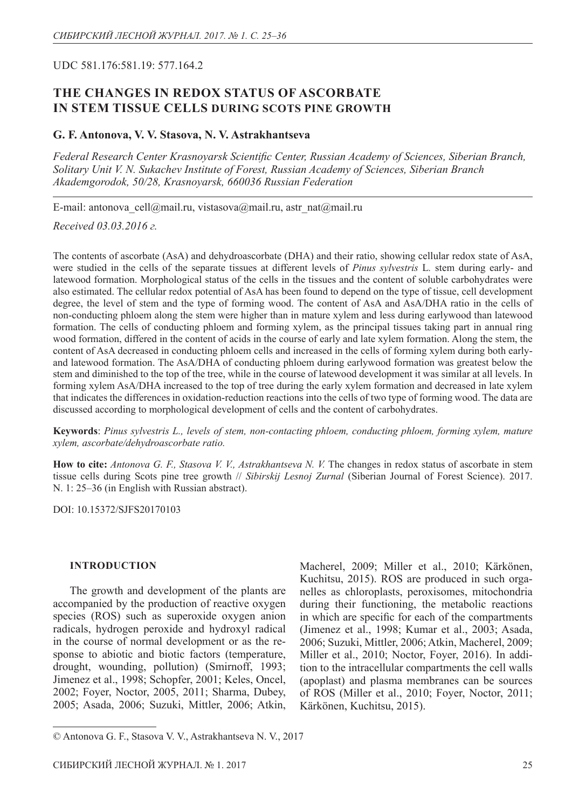## UDC 581.176:581.19: 577.164.2

## **The changes in redox status of ascorbate in stem tissue cells during Scots pine growth**

### **G. F. Antonova, V. V. Stasova, N. V. Astrakhantseva**

*Federal Research Center Krasnoyarsk Scientific Center, Russian Academy of Sciences, Siberian Branch, Solitary Unit V. N. Sukachev Institute of Forest, Russian Academy of Sciences, Siberian Branch Akademgorodok, 50/28, Krasnoyarsk, 660036 Russian Federation*

E-mail: antonova\_cell@mail.ru, vistasova@mail.ru, astr\_nat@mail.ru

*Received 03.03.2016 г.*

The contents of ascorbate (AsA) and dehydroascorbate (DHA) and their ratio, showing cellular redox state of AsA, were studied in the cells of the separate tissues at different levels of *Pinus sylvestris* L*.* stem during early- and latewood formation. Morphological status of the cells in the tissues and the content of soluble carbohydrates were also estimated. The cellular redox potential of AsA has been found to depend on the type of tissue, cell development degree, the level of stem and the type of forming wood. The content of AsA and AsA/DHA ratio in the cells of non-conducting phloem along the stem were higher than in mature xylem and less during earlywood than latewood formation. The cells of conducting phloem and forming xylem, as the principal tissues taking part in annual ring wood formation, differed in the content of acids in the course of early and late xylem formation. Along the stem, the content of AsA decreased in conducting phloem cells and increased in the cells of forming xylem during both earlyand latewood formation. The AsA/DHA of conducting phloem during earlywood formation was greatest below the stem and diminished to the top of the tree, while in the course of latewood development it was similar at all levels. In forming xylem AsA/DHA increased to the top of tree during the early xylem formation and decreased in late xylem that indicates the differences in oxidation-reduction reactions into the cells of two type of forming wood. The data are discussed according to morphological development of cells and the content of carbohydrates.

**Keywords**: *Pinus sylvestris L., levels of stem, non-contacting phloem, conducting phloem, forming xylem, mature xylem, ascorbate/dehydroascorbate ratio.*

**How to cite:** *Antonova G. F., Stasova V. V., Astrakhantseva N. V.* The changes in redox status of ascorbate in stem tissue cells during Scots pine tree growth // *Sibirskij Lesnoj Zurnal* (Siberian Journal of Forest Science). 2017. N. 1: 25–36 (in English with Russian abstract).

DOI: 10.15372/SJFS20170103

#### **INTRODUCTION**

The growth and development of the plants are accompanied by the production of reactive oxygen species (ROS) such as superoxide oxygen anion radicals, hydrogen peroxide and hydroxyl radical in the course of normal development or as the response to abiotic and biotic factors (temperature, drought, wounding, pollution) (Smirnoff, 1993; Jimenez et al., 1998; Schopfer, 2001; Keles, Oncel, 2002; Foyer, Noctor, 2005, 2011; Sharma, Dubey, 2005; Asada, 2006; Suzuki, Mittler, 2006; Atkin,

Macherel, 2009; Miller et al., 2010; Kärkönen, Kuchitsu, 2015). ROS are produced in such organelles as chloroplasts, peroxisomes, mitochondria during their functioning, the metabolic reactions in which are specific for each of the compartments (Jimenez et al., 1998; Kumar et al., 2003; Asada, 2006; Suzuki, Mittler, 2006; Atkin, Macherel, 2009; Miller et al., 2010; Noctor, Foyer, 2016). In addition to the intracellular compartments the cell walls (apoplast) and plasma membranes can be sources of ROS (Miller et al., 2010; Foyer, Noctor, 2011; Kärkönen, Kuchitsu, 2015).

<sup>©</sup> Antonova G. F., Stasova V. V., Astrakhantseva N. V., 2017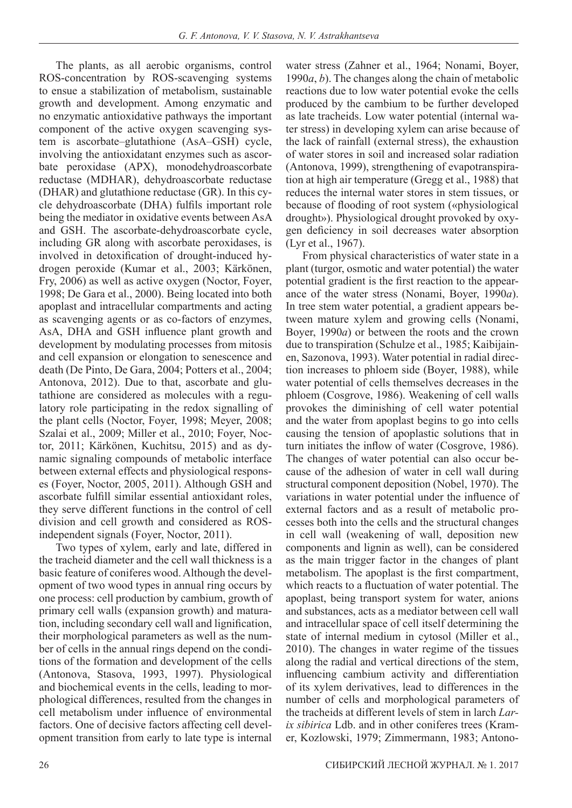The plants, as all aerobic organisms, control ROS-concentration by ROS-scavenging systems to ensue a stabilization of metabolism, sustainable growth and development. Among enzymatic and no enzymatic antioxidative pathways the important component of the active oxygen scavenging system is ascorbate–glutathione (AsA–GSH) cycle, involving the antioxidatant enzymes such as ascorbate peroxidase (APX), monodehydroascorbate reductase (MDHAR), dehydroascorbate reductase (DHAR) and glutathione reductase (GR). In this cycle dehydroascorbate (DHA) fulfils important role being the mediator in oxidative events between AsA and GSH. The ascorbate-dehydroascorbate cycle, including GR along with ascorbate peroxidases, is involved in detoxification of drought-induced hydrogen peroxide (Kumar et al., 2003; Kärkönen, Fry, 2006) as well as active oxygen (Noctor, Foyer, 1998; De Gara et al., 2000). Being located into both apoplast and intracellular compartments and acting as scavenging agents or as co-factors of enzymes, AsA, DHA and GSH influence plant growth and development by modulating processes from mitosis and cell expansion or elongation to senescence and death (De Pinto, De Gara, 2004; Potters et al., 2004; Antonova, 2012). Due to that, ascorbate and glutathione are considered as molecules with a regulatory role participating in the redox signalling of the plant cells (Noctor, Foyer, 1998; Meyer, 2008; Szalai et al., 2009; Miller et al., 2010; Foyer, Noctor, 2011; Kärkönen, Kuchitsu, 2015) and as dynamic signaling compounds of metabolic interface between external effects and physiological responses (Foyer, Noctor, 2005, 2011). Although GSH and ascorbate fulfill similar essential antioxidant roles, they serve different functions in the control of cell division and cell growth and considered as ROSindependent signals (Foyer, Noctor, 2011).

Two types of xylem, early and late, differed in the tracheid diameter and the cell wall thickness is a basic feature of coniferes wood. Although the development of two wood types in annual ring occurs by one process: cell production by cambium, growth of primary cell walls (expansion growth) and maturation, including secondary cell wall and lignification, their morphological parameters as well as the number of cells in the annual rings depend on the conditions of the formation and development of the cells (Antonova, Stasova, 1993, 1997). Physiological and biochemical events in the cells, leading to morphological differences, resulted from the changes in cell metabolism under influence of environmental factors. One of decisive factors affecting cell development transition from early to late type is internal

water stress (Zahner et al., 1964; Nonami, Boyer, 1990*a*, *b*). The changes along the chain of metabolic reactions due to low water potential evoke the cells produced by the cambium to be further developed as late tracheids. Low water potential (internal water stress) in developing xylem can arise because of the lack of rainfall (external stress), the exhaustion of water stores in soil and increased solar radiation (Antonova, 1999), strengthening of evapotranspiration at high air temperature (Gregg et al., 1988) that reduces the internal water stores in stem tissues, or because of flooding of root system («physiological drought»). Physiological drought provoked by oxygen deficiency in soil decreases water absorption (Lyr et al., 1967).

From physical characteristics of water state in a plant (turgor, osmotic and water potential) the water potential gradient is the first reaction to the appearance of the water stress (Nonami, Boyer, 1990*a*). In tree stem water potential, a gradient appears between mature xylem and growing cells (Nonami, Boyer, 1990*a*) or between the roots and the crown due to transpiration (Schulze et al., 1985; Kaibijainen, Sazonova, 1993). Water potential in radial direction increases to phloem side (Boyer, 1988), while water potential of cells themselves decreases in the phloem (Cosgrove, 1986). Weakening of cell walls provokes the diminishing of cell water potential and the water from apoplast begins to go into cells causing the tension of apoplastic solutions that in turn initiates the inflow of water (Cosgrove, 1986). The changes of water potential can also occur because of the adhesion of water in cell wall during structural component deposition (Nobel, 1970). The variations in water potential under the influence of external factors and as a result of metabolic processes both into the cells and the structural changes in cell wall (weakening of wall, deposition new components and lignin as well), can be considered as the main trigger factor in the changes of plant metabolism. The apoplast is the first compartment, which reacts to a fluctuation of water potential. The apoplast, being transport system for water, anions and substances, acts as a mediator between cell wall and intracellular space of cell itself determining the state of internal medium in cytosol (Miller et al., 2010). The changes in water regime of the tissues along the radial and vertical directions of the stem, influencing cambium activity and differentiation of its xylem derivatives, lead to differences in the number of cells and morphological parameters of the tracheids at different levels of stem in larch *Larix sibirica* Ldb. and in other coniferes trees (Kramer, Kozlowski, 1979; Zimmermann, 1983; Antono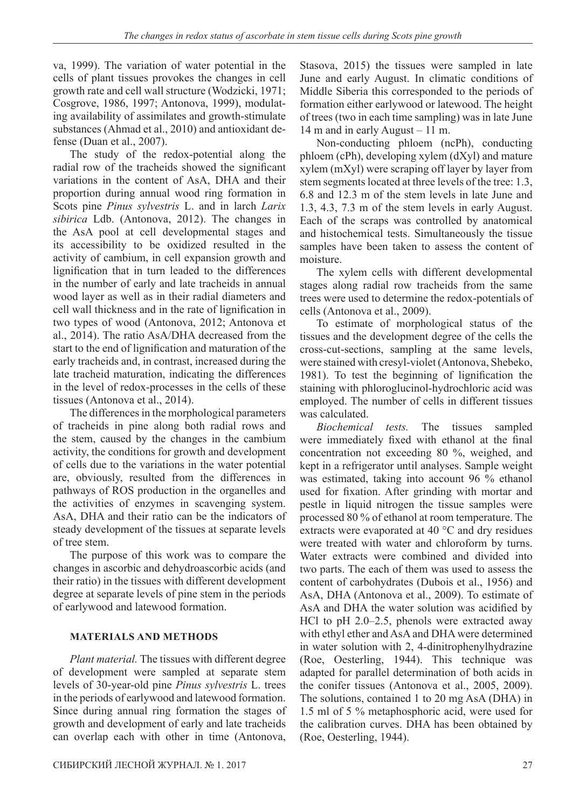va, 1999). The variation of water potential in the cells of plant tissues provokes the changes in cell growth rate and cell wall structure (Wodzicki, 1971; Cosgrove, 1986, 1997; Antonova, 1999), modulating availability of assimilates and growth-stimulate substances (Ahmad et al., 2010) and antioxidant defense (Duan et al., 2007).

The study of the redox-potential along the radial row of the tracheids showed the significant variations in the content of AsA, DHA and their proportion during annual wood ring formation in Scots pine *Pinus sylvestris* L. and in larch *Larix sibirica* Ldb. (Antonova, 2012). The changes in the AsA pool at cell developmental stages and its accessibility to be oxidized resulted in the activity of cambium, in cell expansion growth and lignification that in turn leaded to the differences in the number of early and late tracheids in annual wood layer as well as in their radial diameters and cell wall thickness and in the rate of lignification in two types of wood (Antonova, 2012; Antonova et al., 2014). The ratio AsA/DHA decreased from the start to the end of lignification and maturation of the early tracheids and, in contrast, increased during the late tracheid maturation, indicating the differences in the level of redox-processes in the cells of these tissues (Antonova et al., 2014).

The differences in the morphological parameters of tracheids in pine along both radial rows and the stem, caused by the changes in the cambium activity, the conditions for growth and development of cells due to the variations in the water potential are, obviously, resulted from the differences in pathways of ROS production in the organelles and the activities of enzymes in scavenging system. AsA, DHA and their ratio can be the indicators of steady development of the tissues at separate levels of tree stem.

The purpose of this work was to compare the changes in ascorbic and dehydroascorbic acids (and their ratio) in the tissues with different development degree at separate levels of pine stem in the periods of earlywood and latewood formation.

## **MATERIALS AND METHODS**

*Plant material.* The tissues with different degree of development were sampled at separate stem levels of 30-year-old pine *Pinus sylvestris* L. trees in the periods of earlywood and latewood formation. Since during annual ring formation the stages of growth and development of early and late tracheids can overlap each with other in time (Antonova,

Stasova, 2015) the tissues were sampled in late June and early August. In climatic conditions of Middle Siberia this corresponded to the periods of formation either earlywood or latewood. The height of trees (two in each time sampling) was in late June 14 m and in early August – 11 m.

Non-conducting phloem (ncPh), conducting phloem (cPh), developing xylem (dXyl) and mature xylem (mXyl) were scraping off layer by layer from stem segments located at three levels of the tree: 1.3, 6.8 and 12.3 m of the stem levels in late June and 1.3, 4.3, 7.3 m of the stem levels in early August. Each of the scraps was controlled by anatomical and histochemical tests. Simultaneously the tissue samples have been taken to assess the content of moisture.

The xylem cells with different developmental stages along radial row tracheids from the same trees were used to determine the redox-potentials of cells (Antonova et al., 2009).

To estimate of morphological status of the tissues and the development degree of the cells the cross-cut-sections, sampling at the same levels, were stained with cresyl-violet (Antonova, Shebeko, 1981). To test the beginning of lignification the staining with phloroglucinol-hydrochloric acid was employed. The number of cells in different tissues was calculated.

*Biochemical tests.* The tissues sampled were immediately fixed with ethanol at the final concentration not exceeding 80 %, weighed, and kept in a refrigerator until analyses. Sample weight was estimated, taking into account 96 % ethanol used for fixation. After grinding with mortar and pestle in liquid nitrogen the tissue samples were processed 80 % of ethanol at room temperature. The extracts were evaporated at 40 °C and dry residues were treated with water and chloroform by turns. Water extracts were combined and divided into two parts. The each of them was used to assess the content of carbohydrates (Dubois et al., 1956) and AsA, DHA (Antonova et al., 2009). To estimate of AsA and DHA the water solution was acidified by HCl to pH 2.0–2.5, phenols were extracted away with ethyl ether and AsA and DHA were determined in water solution with 2, 4-dinitrophenylhydrazine (Roe, Oesterling, 1944). This technique was adapted for parallel determination of both acids in the conifer tissues (Antonova et al., 2005, 2009). The solutions, contained 1 to 20 mg AsA (DHA) in 1.5 ml of 5 % metaphosphoric acid, were used for the calibration curves. DHA has been obtained by (Roe, Oesterling, 1944).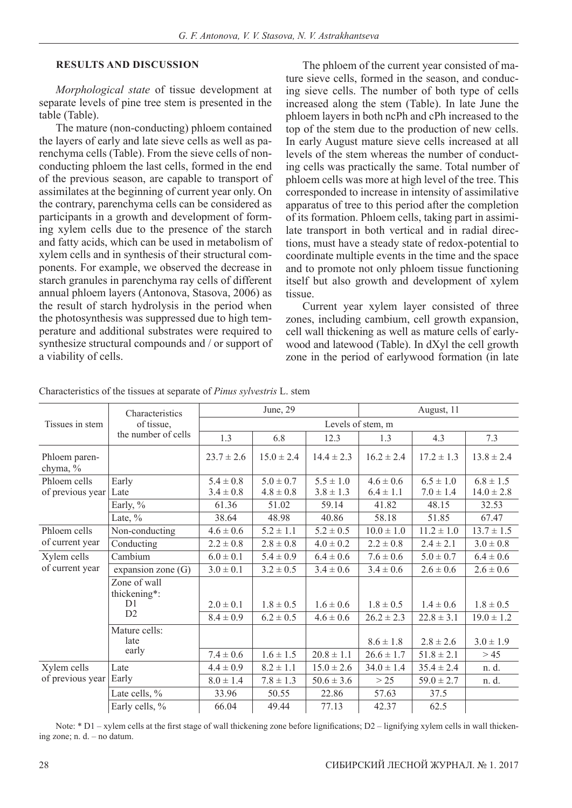#### **RESULTS AND DISCUSSION**

*Morphological state* of tissue development at separate levels of pine tree stem is presented in the table (Table).

The mature (non-conducting) phloem contained the layers of early and late sieve cells as well as parenchyma cells (Table). From the sieve cells of nonconducting phloem the last cells, formed in the end of the previous season, are capable to transport of assimilates at the beginning of current year only. On the contrary, parenchyma cells can be considered as participants in a growth and development of forming xylem cells due to the presence of the starch and fatty acids, which can be used in metabolism of xylem cells and in synthesis of their structural components. For example, we observed the decrease in starch granules in parenchyma ray cells of different annual phloem layers (Antonova, Stasova, 2006) as the result of starch hydrolysis in the period when the photosynthesis was suppressed due to high temperature and additional substrates were required to synthesize structural compounds and / or support of a viability of cells.

The phloem of the current year consisted of mature sieve cells, formed in the season, and conducing sieve cells. The number of both type of cells increased along the stem (Table). In late June the phloem layers in both ncPh and cPh increased to the top of the stem due to the production of new cells. In early August mature sieve cells increased at all levels of the stem whereas the number of conducting cells was practically the same. Total number of phloem cells was more at high level of the tree. This corresponded to increase in intensity of assimilative apparatus of tree to this period after the completion of its formation. Phloem cells, taking part in assimilate transport in both vertical and in radial directions, must have a steady state of redox-potential to coordinate multiple events in the time and the space and to promote not only phloem tissue functioning itself but also growth and development of xylem tissue.

Current year xylem layer consisted of three zones, including cambium, cell growth expansion, cell wall thickening as well as mature cells of earlywood and latewood (Table). In dXyl the cell growth zone in the period of earlywood formation (in late

| Tissues in stem                  | Characteristics<br>of tissue,<br>the number of cells | June, 29          |                |                | August, 11     |                |                |
|----------------------------------|------------------------------------------------------|-------------------|----------------|----------------|----------------|----------------|----------------|
|                                  |                                                      | Levels of stem, m |                |                |                |                |                |
|                                  |                                                      | 1.3               | 6.8            | 12.3           | 1.3            | 4.3            | 7.3            |
| Phloem paren-<br>chyma, %        |                                                      | $23.7 \pm 2.6$    | $15.0 \pm 2.4$ | $14.4 \pm 2.3$ | $16.2 \pm 2.4$ | $17.2 \pm 1.3$ | $13.8 \pm 2.4$ |
| Phloem cells<br>of previous year | Early                                                | $5.4 \pm 0.8$     | $5.0 \pm 0.7$  | $5.5 \pm 1.0$  | $4.6 \pm 0.6$  | $6.5 \pm 1.0$  | $6.8 \pm 1.5$  |
|                                  | Late                                                 | $3.4 \pm 0.8$     | $4.8 \pm 0.8$  | $3.8 \pm 1.3$  | $6.4 \pm 1.1$  | $7.0 \pm 1.4$  | $14.0 \pm 2.8$ |
|                                  | Early, %                                             | 61.36             | 51.02          | 59.14          | 41.82          | 48.15          | 32.53          |
|                                  | Late, $\%$                                           | 38.64             | 48.98          | 40.86          | 58.18          | 51.85          | 67.47          |
| Phloem cells<br>of current year  | Non-conducting                                       | $4.6 \pm 0.6$     | $5.2 \pm 1.1$  | $5.2 \pm 0.5$  | $10.0 \pm 1.0$ | $11.2 \pm 1.0$ | $13.7 \pm 1.5$ |
|                                  | Conducting                                           | $2.2 \pm 0.8$     | $2.8 \pm 0.8$  | $4.0 \pm 0.2$  | $2.2 \pm 0.8$  | $2.4 \pm 2.1$  | $3.0 \pm 0.8$  |
| Xylem cells<br>of current year   | Cambium                                              | $6.0 \pm 0.1$     | $5.4 \pm 0.9$  | $6.4 \pm 0.6$  | $7.6 \pm 0.6$  | $5.0 \pm 0.7$  | $6.4 \pm 0.6$  |
|                                  | expansion zone $(G)$                                 | $3.0 \pm 0.1$     | $3.2 \pm 0.5$  | $3.4 \pm 0.6$  | $3.4 \pm 0.6$  | $2.6 \pm 0.6$  | $2.6 \pm 0.6$  |
|                                  | Zone of wall<br>thickening*:<br>D1<br>D2             | $2.0 \pm 0.1$     | $1.8 \pm 0.5$  | $1.6 \pm 0.6$  | $1.8 \pm 0.5$  | $1.4 \pm 0.6$  | $1.8 \pm 0.5$  |
|                                  |                                                      | $8.4 \pm 0.9$     | $6.2 \pm 0.5$  | $4.6 \pm 0.6$  | $26.2 \pm 2.3$ | $22.8 \pm 3.1$ | $19.0 \pm 1.2$ |
|                                  | Mature cells:<br>late<br>early                       |                   |                |                | $8.6 \pm 1.8$  | $2.8 \pm 2.6$  | $3.0 \pm 1.9$  |
|                                  |                                                      | $7.4 \pm 0.6$     | $1.6 \pm 1.5$  | $20.8 \pm 1.1$ | $26.6 \pm 1.7$ | $51.8 \pm 2.1$ | > 45           |
| Xylem cells<br>of previous year  | Late<br>Early                                        | $4.4 \pm 0.9$     | $8.2 \pm 1.1$  | $15.0 \pm 2.6$ | $34.0 \pm 1.4$ | $35.4 \pm 2.4$ | n. d.          |
|                                  |                                                      | $8.0 \pm 1.4$     | $7.8 \pm 1.3$  | $50.6 \pm 3.6$ | >25            | $59.0 \pm 2.7$ | n. d.          |
|                                  | Late cells, %                                        | 33.96             | 50.55          | 22.86          | 57.63          | 37.5           |                |
|                                  | Early cells, %                                       | 66.04             | 49.44          | 77.13          | 42.37          | 62.5           |                |

Characteristics of the tissues at separate of *Pinus sylvestris* L. stem

Note: \* D1 – xylem cells at the first stage of wall thickening zone before lignifications; D2 – lignifying xylem cells in wall thickening zone; n. d. – no datum.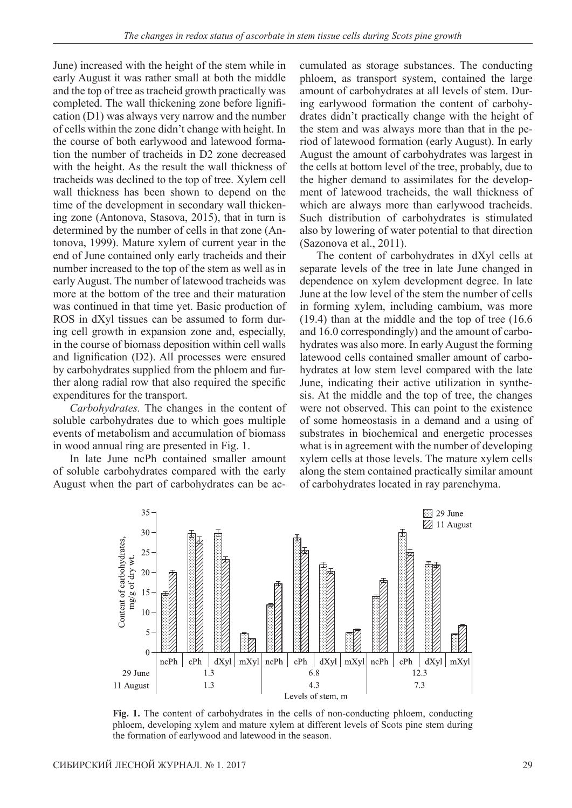June) increased with the height of the stem while in early August it was rather small at both the middle and the top of tree as tracheid growth practically was completed. The wall thickening zone before lignification (D1) was always very narrow and the number of cells within the zone didn't change with height. In the course of both earlywood and latewood formation the number of tracheids in D2 zone decreased with the height. As the result the wall thickness of tracheids was declined to the top of tree. Xylem cell wall thickness has been shown to depend on the time of the development in secondary wall thickening zone (Antonova, Stasova, 2015), that in turn is determined by the number of cells in that zone (Antonova, 1999). Mature xylem of current year in the end of June contained only early tracheids and their number increased to the top of the stem as well as in early August. The number of latewood tracheids was more at the bottom of the tree and their maturation was continued in that time yet. Basic production of ROS in dXyl tissues can be assumed to form during cell growth in expansion zone and, especially, in the course of biomass deposition within cell walls and lignification (D2). All processes were ensured by carbohydrates supplied from the phloem and further along radial row that also required the specific expenditures for the transport.

*Carbohydrates.* The changes in the content of soluble carbohydrates due to which goes multiple events of metabolism and accumulation of biomass in wood annual ring are presented in Fig. 1.

In late June ncPh contained smaller amount of soluble carbohydrates compared with the early August when the part of carbohydrates can be accumulated as storage substances. The conducting phloem, as transport system, contained the large amount of carbohydrates at all levels of stem. During earlywood formation the content of carbohydrates didn't practically change with the height of the stem and was always more than that in the period of latewood formation (early August). In early August the amount of carbohydrates was largest in the cells at bottom level of the tree, probably, due to the higher demand to assimilates for the development of latewood tracheids, the wall thickness of which are always more than earlywood tracheids. Such distribution of carbohydrates is stimulated also by lowering of water potential to that direction (Sazonova et al., 2011).

The content of carbohydrates in dXyl cells at separate levels of the tree in late June changed in dependence on xylem development degree. In late June at the low level of the stem the number of cells in forming xylem, including cambium, was more (19.4) than at the middle and the top of tree (16.6 and 16.0 correspondingly) and the amount of carbohydrates was also more. In early August the forming latewood cells contained smaller amount of carbohydrates at low stem level compared with the late June, indicating their active utilization in synthesis. At the middle and the top of tree, the changes were not observed. This can point to the existence of some homeostasis in a demand and a using of substrates in biochemical and energetic processes what is in agreement with the number of developing xylem cells at those levels. The mature xylem cells along the stem contained practically similar amount of carbohydrates located in ray parenchyma.



Fig. 1. The content of carbohydrates in the cells of non-conducting phloem, conducting phloem, developing xylem and mature xylem at different levels of Scots pine stem during the formation of earlywood and latewood in the season.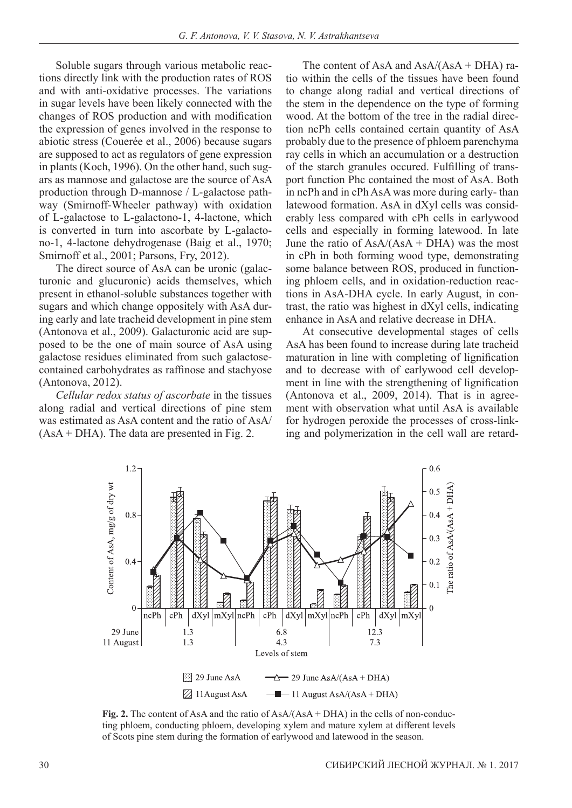Soluble sugars through various metabolic reactions directly link with the production rates of ROS and with anti-oxidative processes. The variations in sugar levels have been likely connected with the changes of ROS production and with modification the expression of genes involved in the response to abiotic stress (Couerée et al., 2006) because sugars are supposed to act as regulators of gene expression in plants (Koch, 1996). On the other hand, such sugars as mannose and galactose are the source of AsA production through D-mannose / L-galactose pathway (Smirnoff-Wheeler pathway) with oxidation of L-galactose to L-galactono-1, 4-lactone, which is converted in turn into ascorbate by L-galactono-1, 4-lactone dehydrogenase (Baig et al., 1970; Smirnoff et al., 2001; Parsons, Fry, 2012).

The direct source of AsA can be uronic (galacturonic and glucuronic) acids themselves, which present in ethanol-soluble substances together with sugars and which change oppositely with AsA during early and late tracheid development in pine stem (Antonova et al., 2009). Galacturonic acid are supposed to be the one of main source of AsA using galactose residues eliminated from such galactosecontained carbohydrates as raffinose and stachyose (Antonova, 2012).

*Cellular redox status of ascorbate* in the tissues along radial and vertical directions of pine stem was estimated as AsA content and the ratio of AsA/ (AsA + DHA). The data are presented in Fig. 2.

The content of AsA and  $AsA/(AsA + DHA)$  ratio within the cells of the tissues have been found to change along radial and vertical directions of the stem in the dependence on the type of forming wood. At the bottom of the tree in the radial direction ncPh cells contained certain quantity of AsA probably due to the presence of phloem parenchyma ray cells in which an accumulation or a destruction of the starch granules occured. Fulfilling of transport function Phc contained the most of AsA. Both in ncPh and in cPh AsA was more during early- than latewood formation. AsA in dXyl cells was considerably less compared with cPh cells in earlywood cells and especially in forming latewood. In late June the ratio of  $AsA/(AsA + DHA)$  was the most in cPh in both forming wood type, demonstrating some balance between ROS, produced in functioning phloem cells, and in oxidation-reduction reactions in AsA-DHA cycle. In early August, in contrast, the ratio was highest in dXyl cells, indicating enhance in AsA and relative decrease in DHA.

At consecutive developmental stages of cells AsA has been found to increase during late tracheid maturation in line with completing of lignification and to decrease with of earlywood cell development in line with the strengthening of lignification (Antonova et al., 2009, 2014). That is in agreement with observation what until AsA is available for hydrogen peroxide the processes of cross-linking and polymerization in the cell wall are retard-



**Fig. 2.** The content of AsA and the ratio of AsA/(AsA + DHA) in the cells of non-conducting phloem, conducting phloem, developing xylem and mature xylem at different levels of Scots pine stem during the formation of earlywood and latewood in the season.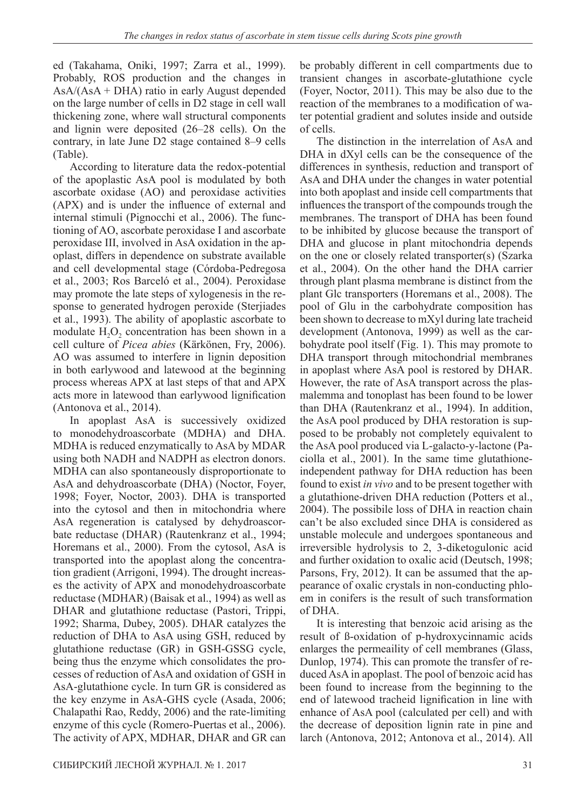ed (Takahama, Oniki, 1997; Zarra et al., 1999). Probably, ROS production and the changes in AsA/(AsA + DHA) ratio in early August depended on the large number of cells in D2 stage in cell wall thickening zone, where wall structural components and lignin were deposited (26–28 cells). On the contrary, in late June D2 stage contained 8–9 cells (Table).

According to literature data the redox-potential of the apoplastic AsA pool is modulated by both ascorbate oxidase (AO) and peroxidase activities (APX) and is under the influence of external and internal stimuli (Pignocchi et al., 2006). The functioning of AO, ascorbate peroxidase I and ascorbate peroxidase III, involved in AsA oxidation in the apoplast, differs in dependence on substrate available and cell developmental stage (Córdoba-Pedregosa et al., 2003; Ros Barceló et al., 2004). Peroxidase may promote the late steps of xylogenesis in the response to generated hydrogen peroxide (Sterjiades et al., 1993). The ability of apoplastic ascorbate to modulate  $H_2O_2$  concentration has been shown in a cell culture of *Picea abies* (Kärkönen, Fry, 2006). AO was assumed to interfere in lignin deposition in both earlywood and latewood at the beginning process whereas APX at last steps of that and APX acts more in latewood than earlywood lignification (Antonova et al., 2014).

In apoplast AsA is successively oxidized to monodehydroascorbate (MDHA) and DHA. MDHA is reduced enzymatically to AsA by MDAR using both NADH and NADPH as electron donors. MDHA can also spontaneously disproportionate to AsA and dehydroascorbate (DHA) (Noctor, Foyer, 1998; Foyer, Noctor, 2003). DHA is transported into the cytosol and then in mitochondria where AsA regeneration is catalysed by dehydroascorbate reductase (DHAR) (Rautenkranz et al., 1994; Horemans et al., 2000). From the cytosol, AsA is transported into the apoplast along the concentration gradient (Arrigoni, 1994). The drought increases the activity of APX and monodehydroascorbate reductase (MDHAR) (Baisak et al., 1994) as well as DHAR and glutathione reductase (Pastori, Trippi, 1992; Sharma, Dubey, 2005). DHAR catalyzes the reduction of DHA to AsA using GSH, reduced by glutathione reductase (GR) in GSH-GSSG cycle, being thus the enzyme which consolidates the processes of reduction of AsA and oxidation of GSH in AsA-glutathione cycle. In turn GR is considered as the key enzyme in AsA-GHS cycle (Asada, 2006; Chalapathi Rao, Reddy, 2006) and the rate-limiting enzyme of this cycle (Romero-Puertas et al., 2006). The activity of APX, MDHAR, DHAR and GR can

be probably different in cell compartments due to transient changes in ascorbate-glutathione cycle (Foyer, Noctor, 2011). This may be also due to the reaction of the membranes to a modification of water potential gradient and solutes inside and outside of cells.

The distinction in the interrelation of AsA and DHA in dXyl cells can be the consequence of the differences in synthesis, reduction and transport of AsA and DHA under the changes in water potential into both apoplast and inside cell compartments that influences the transport of the compounds trough the membranes. The transport of DHA has been found to be inhibited by glucose because the transport of DHA and glucose in plant mitochondria depends on the one or closely related transporter(s) (Szarka et al., 2004). On the other hand the DHA carrier through plant plasma membrane is distinct from the plant Glc transporters (Horemans et al., 2008). The pool of Glu in the carbohydrate composition has been shown to decrease to mXyl during late tracheid development (Antonova, 1999) as well as the carbohydrate pool itself (Fig. 1). This may promote to DHA transport through mitochondrial membranes in apoplast where AsA pool is restored by DHAR. However, the rate of AsA transport across the plasmalemma and tonoplast has been found to be lower than DHA (Rautenkranz et al., 1994). In addition, the AsA pool produced by DHA restoration is supposed to be probably not completely equivalent to the AsA pool produced via L-galacto-y-lactone (Paciolla et al., 2001). In the same time glutathioneindependent pathway for DHA reduction has been found to exist *in vivo* and to be present together with a glutathione-driven DHA reduction (Potters et al., 2004). The possibile loss of DHA in reaction chain can't be also excluded since DHA is considered as unstable molecule and undergoes spontaneous and irreversible hydrolysis to 2, 3-diketogulonic acid and further oxidation to oxalic acid (Deutsch, 1998; Parsons, Fry, 2012). It can be assumed that the appearance of oxalic crystals in non-conducting phloem in conifers is the result of such transformation of DHA.

It is interesting that benzoic acid arising as the result of ß-oxidation of p-hydroxycinnamic acids enlarges the permeaility of cell membranes (Glass, Dunlop, 1974). This can promote the transfer of reduced AsA in apoplast. The pool of benzoic acid has been found to increase from the beginning to the end of latewood tracheid lignification in line with enhance of AsA pool (calculated per cell) and with the decrease of deposition lignin rate in pine and larch (Antonova, 2012; Antonova et al., 2014). All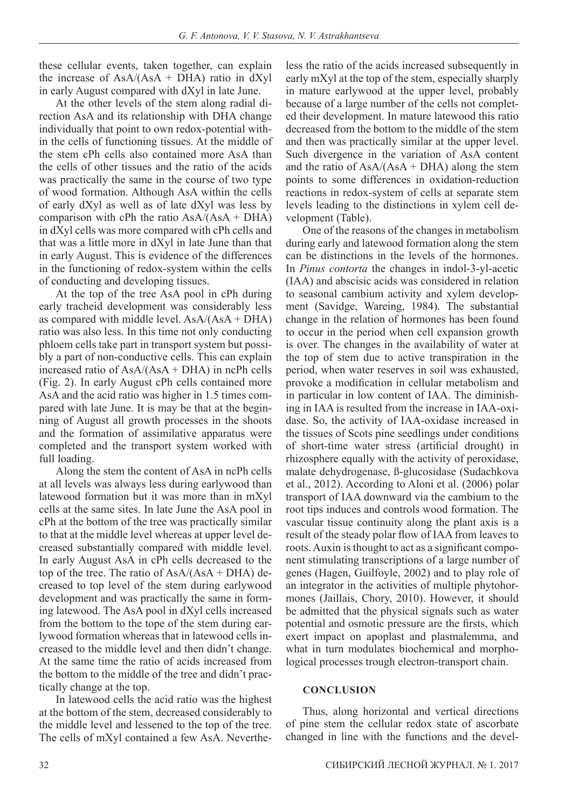these cellular events, taken together, can explain the increase of  $AsA/(AsA + DHA)$  ratio in dXyl in early August compared with dXyl in late June.

At the other levels of the stem along radial direction AsA and its relationship with DHA change individually that point to own redox-potential within the cells of functioning tissues. At the middle of the stem cPh cells also contained more AsA than the cells of other tissues and the ratio of the acids was practically the same in the course of two type of wood formation. Although AsA within the cells of early dXyl as well as of late dXyl was less by comparison with cPh the ratio  $AsA/(AsA + DHA)$ in dXyl cells was more compared with cPh cells and that was a little more in dXyl in late June than that in early August. This is evidence of the differences in the functioning of redox-system within the cells of conducting and developing tissues.

At the top of the tree AsA pool in cPh during early tracheid development was considerably less as compared with middle level. AsA/(AsA + DHA) ratio was also less. In this time not only conducting phloem cells take part in transport system but possibly a part of non-conductive cells. This can explain increased ratio of AsA/(AsA + DHA) in ncPh cells (Fig. 2). In early August cPh cells contained more AsA and the acid ratio was higher in 1.5 times compared with late June. It is may be that at the beginning of August all growth processes in the shoots and the formation of assimilative apparatus were completed and the transport system worked with full loading.

Along the stem the content of AsA in ncPh cells at all levels was always less during earlywood than latewood formation but it was more than in mXyl cells at the same sites. In late June the AsA pool in cPh at the bottom of the tree was practically similar to that at the middle level whereas at upper level decreased substantially compared with middle level. In early August AsA in cPh cells decreased to the top of the tree. The ratio of  $AsA/(AsA + DHA)$  decreased to top level of the stem during earlywood development and was practically the same in forming latewood. The AsA pool in dXyl cells increased from the bottom to the tope of the stem during earlywood formation whereas that in latewood cells increased to the middle level and then didn't change. At the same time the ratio of acids increased from the bottom to the middle of the tree and didn't practically change at the top.

In latewood cells the acid ratio was the highest at the bottom of the stem, decreased considerably to the middle level and lessened to the top of the tree. The cells of mXyl contained a few AsA. Nevertheless the ratio of the acids increased subsequently in early mXyl at the top of the stem, especially sharply in mature earlywood at the upper level, probably because of a large number of the cells not completed their development. In mature latewood this ratio decreased from the bottom to the middle of the stem and then was practically similar at the upper level. Such divergence in the variation of AsA content and the ratio of  $\text{AsA}/(\text{AsA} + \text{DHA})$  along the stem points to some differences in oxidation-reduction reactions in redox-system of cells at separate stem levels leading to the distinctions in xylem cell development (Table).

One of the reasons of the changes in metabolism during early and latewood formation along the stem can be distinctions in the levels of the hormones. In *Pinus contorta* the changes in indol-3-yl-acetic (IAA) and abscisic acids was considered in relation to seasonal cambium activity and xylem development (Savidge, Wareing, 1984). The substantial change in the relation of hormones has been found to occur in the period when cell expansion growth is over. The changes in the availability of water at the top of stem due to active transpiration in the period, when water reserves in soil was exhausted, provoke a modification in cellular metabolism and in particular in low content of IAA. The diminishing in IAA is resulted from the increase in IAA-oxidase. So, the activity of IAA-oxidase increased in the tissues of Scots pine seedlings under conditions of short-time water stress (artificial drought) in rhizosphere equally with the activity of peroxidase, malate dehydrogenase, ß-glucosidase (Sudachkova et al., 2012). According to Aloni et al. (2006) polar transport of IAA downward via the cambium to the root tips induces and controls wood formation. The vascular tissue continuity along the plant axis is a result of the steady polar flow of IAA from leaves to roots. Auxin is thought to act as a significant component stimulating transcriptions of a large number of genes (Hagen, Guilfoyle, 2002) and to play role of an integrator in the activities of multiple phytohormones (Jaillais, Chory, 2010). However, it should be admitted that the physical signals such as water potential and osmotic pressure are the firsts, which exert impact on apoplast and plasmalemma, and what in turn modulates biochemical and morphological processes trough electron-transport chain.

#### **CONCLUSION**

Thus, along horizontal and vertical directions of pine stem the cellular redox state of ascorbate changed in line with the functions and the devel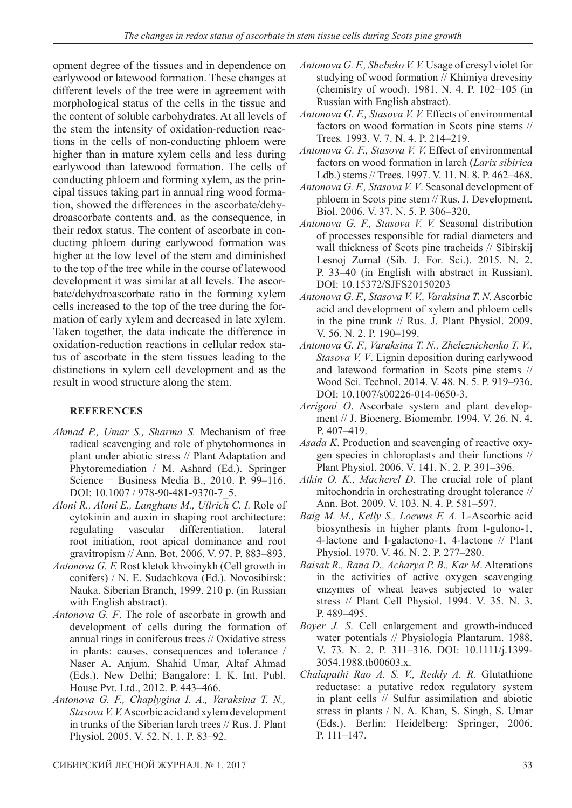opment degree of the tissues and in dependence on earlywood or latewood formation. These changes at different levels of the tree were in agreement with morphological status of the cells in the tissue and the content of soluble carbohydrates. At all levels of the stem the intensity of oxidation-reduction reactions in the cells of non-conducting phloem were higher than in mature xylem cells and less during earlywood than latewood formation. The cells of conducting phloem and forming xylem, as the principal tissues taking part in annual ring wood formation, showed the differences in the ascorbate/dehydroascorbate contents and, as the consequence, in their redox status. The content of ascorbate in conducting phloem during earlywood formation was higher at the low level of the stem and diminished to the top of the tree while in the course of latewood development it was similar at all levels. The ascorbate/dehydroascorbate ratio in the forming xylem cells increased to the top of the tree during the formation of early xylem and decreased in late xylem. Taken together, the data indicate the difference in oxidation-reduction reactions in cellular redox status of ascorbate in the stem tissues leading to the distinctions in xylem cell development and as the result in wood structure along the stem.

## **REFERENCES**

- *Ahmad P., Umar S., Sharma S.* Mechanism of free radical scavenging and role of phytohormones in plant under abiotic stress // Plant Adaptation and Phytoremediation / M. Ashard (Ed.). Springer Science + Business Media B., 2010. P. 99–116. DOI: 10.1007 / 978-90-481-9370-7\_5.
- *Aloni R., Aloni E., Langhans M., Ullrich C. I.* Role of cytokinin and auxin in shaping root architecture: regulating vascular differentiation, lateral root initiation, root apical dominance and root gravitropism // Ann. Bot. 2006. V. 97. P. 883–893.
- *Antonova G. F.* Rost kletok khvoinykh (Cell growth in conifers) / N. E. Sudachkova (Ed.). Novosibirsk: Nauka. Siberian Branch, 1999. 210 p. (in Russian with English abstract).
- *Antonova G. F*. The role of ascorbate in growth and development of cells during the formation of annual rings in coniferous trees // Oxidative stress in plants: causes, consequences and tolerance / Naser A. Anjum, Shahid Umar, Altaf Ahmad (Eds.). New Delhi; Bangalore: I. K. Int. Publ. House Pvt. Ltd., 2012. P. 443–466.
- *Antonova G. F., Chaplygina I. A., Varaksina T. N., Stasova V. V.* Ascorbic acid and xylem development in trunks of the Siberian larch trees // Rus. J. Plant Physiol*.* 2005. V. 52. N. 1. P. 83–92.
- *Antonova G. F., Shebeko V. V.* Usage of cresyl violet for studying of wood formation // Khimiya drevesiny (chemistry of wood). 1981. N. 4. P. 102–105 (in Russian with English abstract).
- *Antonova G. F., Stasova V. V.* Effects of environmental factors on wood formation in Scots pine stems // Trees*.* 1993. V. 7. N. 4. P. 214–219.
- *Antonova G. F., Stasova V. V.* Effect of environmental factors on wood formation in larch (*Larix sibirica* Ldb.) stems // Trees. 1997. V. 11. N. 8. P. 462–468.
- *Antonova G. F., Stasova V. V*. Seasonal development of phloem in Scots pine stem // Rus. J. Development. Biol. 2006. V. 37. N. 5. P. 306–320.
- *Antonova G. F., Stasova V. V.* Seasonal distribution of processes responsible for radial diameters and wall thickness of Scots pine tracheids // Sibirskij Lesnoj Zurnal (Sib. J. For. Sci.). 2015. N. 2. P. 33–40 (in English with abstract in Russian). DOI: 10.15372/SJFS20150203
- *Antonova G. F., Stasova V. V., Varaksina T. N.* Ascorbic acid and development of xylem and phloem cells in the pine trunk // Rus. J. Plant Physiol. 2009. V. 56. N. 2. P. 190–199.
- *Antonova G. F., Varaksina T. N., Zheleznichenko T. V., Stasova V. V*. Lignin deposition during earlywood and latewood formation in Scots pine stems // Wood Sci. Technol. 2014. V. 48. N. 5. P. 919–936. DOI: 10.1007/s00226-014-0650-3.
- *Arrigoni O*. Ascorbate system and plant development // J. Bioenerg. Biomembr. 1994. V. 26. N. 4. P. 407–419.
- *Asada K*. Production and scavenging of reactive oxygen species in chloroplasts and their functions // Plant Physiol. 2006. V. 141. N. 2. P. 391–396.
- *Atkin O. K., Macherel D*. The crucial role of plant mitochondria in orchestrating drought tolerance // Ann. Bot. 2009. V. 103. N. 4. P. 581–597.
- *Baig M. M., Kelly S., Loewus F. A.* L-Ascorbic acid biosynthesis in higher plants from l-gulono-1, 4-lactone and l-galactono-1, 4-lactone // Plant Physiol. 1970. V. 46. N. 2. P. 277–280.
- *Baisak R., Rana D., Acharya P. B., Kar M*. Alterations in the activities of active oxygen scavenging enzymes of wheat leaves subjected to water stress // Plant Cell Physiol. 1994. V. 35. N. 3. P. 489–495.
- *Boyer J. S*. Cell enlargement and growth-induced water potentials // Physiologia Plantarum. 1988. V. 73. N. 2. P. 311–316. DOI: 10.1111/j.1399- 3054.1988.tb00603.x.
- *Chalapathi Rao A. S. V., Reddy A. R.* Glutathione reductase: a putative redox regulatory system in plant cells // Sulfur assimilation and abiotic stress in plants / N. A. Khan, S. Singh, S. Umar (Eds.). Berlin; Heidelberg: Springer, 2006. P. 111–147.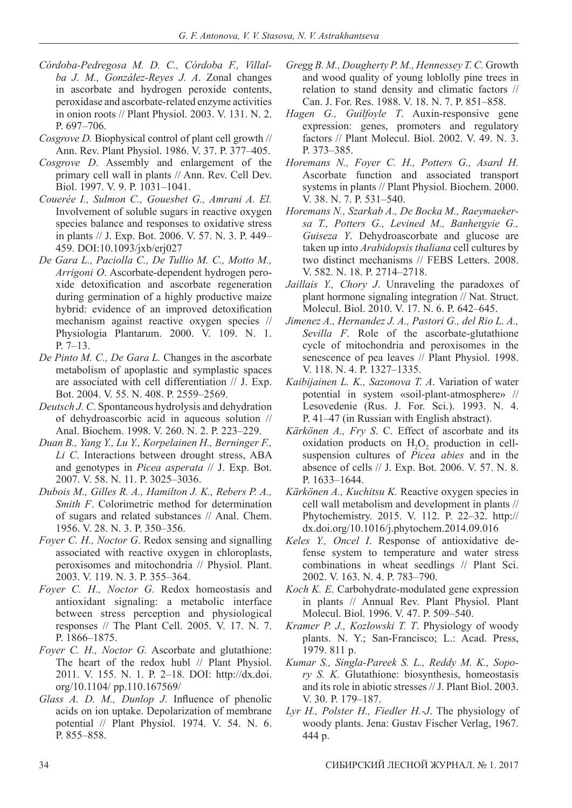- *Córdoba-Pedregosa M. D. C., Córdoba F., Villalba J. M., González-Reyes J. A*. Zonal changes in ascorbate and hydrogen peroxide contents, peroxidase and ascorbate-related enzyme activities in onion roots // Plant Physiol. 2003. V. 131. N. 2. P. 697–706.
- *Cosgrove D.* Biophysical control of plant cell growth // Ann. Rev. Plant Physiol. 1986. V. 37. P. 377–405.
- *Cosgrove D*. Assembly and enlargement of the primary cell wall in plants // Ann. Rev. Cell Dev. Biol. 1997. V. 9. P. 1031–1041.
- *Couerée I., Sulmon C., Gouesbet G., Amrani A. El.* Involvement of soluble sugars in reactive oxygen species balance and responses to oxidative stress in plants // J. Exp. Bot. 2006. V. 57. N. 3. P. 449– 459. DOI:10.1093/jxb/erj027
- *De Gara L., Paciolla C., De Tullio M. C., Motto M., Arrigoni O*. Ascorbate-dependent hydrogen peroxide detoxification and ascorbate regeneration during germination of a highly productive maize hybrid: evidence of an improved detoxification mechanism against reactive oxygen species // Physiologia Plantarum. 2000. V. 109. N. 1. P. 7–13.
- *De Pinto M. C., De Gara L.* Changes in the ascorbate metabolism of apoplastic and symplastic spaces are associated with cell differentiation // J. Exp. Bot. 2004. V. 55. N. 408. P. 2559–2569.
- *Deutsch J. C*. Spontaneous hydrolysis and dehydration of dehydroascorbic acid in aqueous solution // Anal. Biochem. 1998. V. 260. N. 2. P. 223–229.
- *Duan B., Yang Y., Lu Y., Korpelainen H., Berninger F., Li C*. Interactions between drought stress, ABA and genotypes in *Picea asperata* // J. Exp. Bot. 2007. V. 58. N. 11. P. 3025–3036.
- *Dubois M., Gilles R. A., Hamilton J. K., Rebers P. A., Smith F*. Colorimetric method for determination of sugars and related substances // Anal. Chem. 1956. V. 28. N. 3. P. 350–356.
- *Foyer C. H., Noctor G*. Redox sensing and signalling associated with reactive oxygen in chloroplasts, peroxisomes and mitochondria // Physiol. Plant. 2003. V. 119. N. 3. P. 355–364.
- *Foyer C. H., Noctor G.* Redox homeostasis and antioxidant signaling: a metabolic interface between stress perception and physiological responses // The Plant Cell. 2005. V. 17. N. 7. P. 1866–1875.
- *Foyer C. H., Noctor G.* Ascorbate and glutathione: The heart of the redox hubl // Plant Physiol. 2011. V. 155. N. 1. P. 2–18. DOI: http://dx.doi. org/10.1104/ pp.110.167569/
- *Glass A. D. M., Dunlop J*. Influence of phenolic acids on ion uptake. Depolarization of membrane potential // Plant Physiol. 1974. V. 54. N. 6. P. 855–858.
- *Gregg B. M., Dougherty P. M., Hennessey T. C.* Growth and wood quality of young loblolly pine trees in relation to stand density and climatic factors // Can. J. For. Res. 1988. V. 18. N. 7. P. 851–858.
- *Hagen G., Guilfoyle T*. Auxin-responsive gene expression: genes, promoters and regulatory factors // Plant Molecul. Biol. 2002. V. 49. N. 3. P. 373–385.
- *Horemans N., Foyer C. H., Potters G., Asard H.* Ascorbate function and associated transport systems in plants // Plant Physiol. Biochem. 2000. V. 38. N. 7. P. 531–540.
- *Horemans N., Szarkab A., De Bocka M., Raeymaekersa T., Potters G., Levined M., Banheґgyie G., Guiseza Y*. Dehydroascorbate and glucose are taken up into *Arabidopsis thaliana* cell cultures by two distinct mechanisms // FEBS Letters. 2008. V. 582. N. 18. P. 2714–2718.
- *Jaillais Y., Chory J*. Unraveling the paradoxes of plant hormone signaling integration // Nat. Struct. Molecul. Biol. 2010. V. 17. N. 6. P. 642–645.
- *Jimenez A., Hernandez J. A., Pastori G., del Rio L. A., Sevilla F*. Role of the ascorbate-glutathione cycle of mitochondria and peroxisomes in the senescence of pea leaves // Plant Physiol. 1998. V. 118. N. 4. P. 1327–1335.
- *Kaibijainen L. K., Sazonova T. A*. Variation of water potential in system «soil-plant-atmosphere» // Lesovedenie (Rus. J. For. Sci.). 1993. N. 4. P. 41–47 (in Russian with English abstract).
- *Kärkönen A., Fry S*. C. Effect of ascorbate and its oxidation products on  $H<sub>2</sub>O<sub>2</sub>$  production in cellsuspension cultures of *Picea abies* and in the absence of cells // J. Exp. Bot. 2006. V. 57. N. 8. P. 1633–1644.
- *Kärkönen A., Kuchitsu K.* Reactive oxygen species in cell wall metabolism and development in plants // Phytochemistry. 2015. V. 112. P. 22–32. http:// dx.doi.org/10.1016/j.phytochem.2014.09.016
- *Keles Y., Oncel I*. Response of antioxidative defense system to temperature and water stress combinations in wheat seedlings // Plant Sci. 2002. V. 163. N. 4. P. 783–790.
- *Koch K. E*. Carbohydrate-modulated gene expression in plants // Annual Rev. Plant Physiol. Plant Molecul. Biol. 1996. V. 47. P. 509–540.
- *Kramer P. J., Kozlowski T. T*. Physiology of woody plants. N. Y.; San-Francisco; L.: Acad. Press, 1979. 811 p.
- *Kumar S., Singla-Pareek S. L., Reddy M. K., Sopory S. K.* Glutathione: biosynthesis, homeostasis and its role in abiotic stresses // J. Plant Biol. 2003. V. 30. P. 179–187.
- *Lyr H., Polster H., Fiedler H.-J*. The physiology of woody plants. Jena: Gustav Fischer Verlag, 1967. 444 p.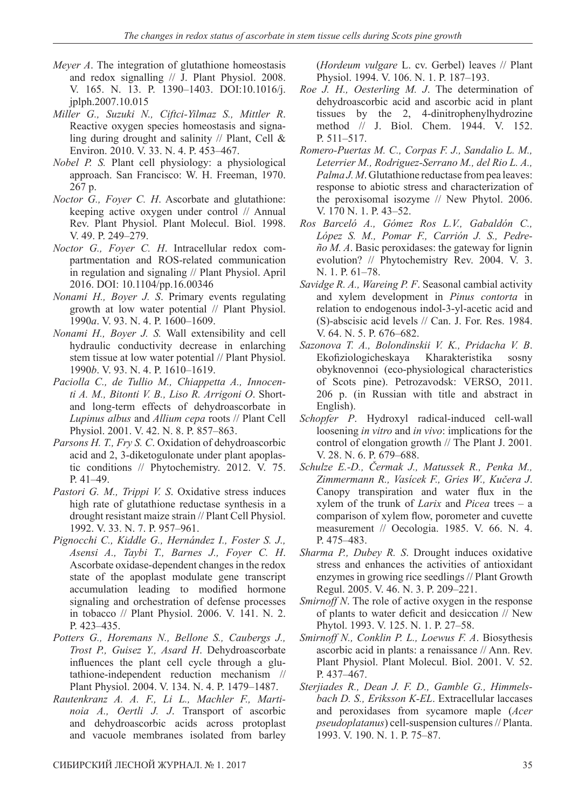- *Meyer A*. The integration of glutathione homeostasis and redox signalling // J. Plant Physiol. 2008. V. 165. N. 13. P. 1390–1403. DOI:10.1016/j. jplph.2007.10.015
- *Miller G., Suzuki N., Ciftci-Yilmaz S., Mittler R*. Reactive oxygen species homeostasis and signaling during drought and salinity // Plant, Cell & Environ. 2010. V. 33. N. 4. P. 453–467.
- *Nobel P. S.* Plant cell physiology: a physiological approach. San Francisco: W. H. Freeman, 1970. 267 p.
- *Noctor G., Foyer C. H*. Ascorbate and glutathione: keeping active oxygen under control // Annual Rev. Plant Physiol. Plant Molecul. Biol. 1998. V. 49. P. 249–279.
- *Noctor G., Foyer C. H*. Intracellular redox compartmentation and ROS-related communication in regulation and signaling // Plant Physiol. April 2016. DOI: 10.1104/pp.16.00346
- *Nonami H., Boyer J. S*. Primary events regulating growth at low water potential // Plant Physiol. 1990*a*. V. 93. N. 4. P. 1600–1609.
- *Nonami H., Boyer J. S.* Wall extensibility and cell hydraulic conductivity decrease in enlarching stem tissue at low water potential // Plant Physiol. 1990*b*. V. 93. N. 4. P. 1610–1619.
- *Paciolla C., de Tullio M., Chiappetta A., Innocenti A. M., Bitonti V. B., Liso R. Arrigoni O*. Shortand long-term effects of dehydroascorbate in *Lupinus albus* and *Allium cepa* roots // Plant Cell Physiol. 2001. V. 42. N. 8. P. 857–863.
- *Parsons H. T., Fry S. C*. Oxidation of dehydroascorbic acid and 2, 3-diketogulonate under plant apoplastic conditions // Phytochemistry. 2012. V. 75. P. 41–49.
- *Pastori G. M., Trippi V. S*. Oxidative stress induces high rate of glutathione reductase synthesis in a drought resistant maize strain // Plant Cell Physiol. 1992. V. 33. N. 7. P. 957–961.
- *Pignocchi C., Kiddle G., Hernández I., Foster S. J., Asensi A., Taybi T., Barnes J., Foyer C. H*. Ascorbate oxidase-dependent changes in the redox state of the apoplast modulate gene transcript accumulation leading to modified hormone signaling and orchestration of defense processes in tobacco // Plant Physiol. 2006. V. 141. N. 2. P. 423–435.
- *Potters G., Horemans N., Bellone S., Caubergs J., Trost P., Guisez Y., Asard H*. Dehydroascorbate influences the plant cell cycle through a glutathione-independent reduction mechanism // Plant Physiol. 2004. V. 134. N. 4. P. 1479–1487.
- *Rautenkranz A. A. F., Li L., Machler F., Martinoia A., Oertli J. J*. Transport of ascorbic and dehydroascorbic acids across protoplast and vacuole membranes isolated from barley

(*Hordeum vulgare* L. cv. Gerbel) leaves // Plant Physiol. 1994. V. 106. N. 1. P. 187–193.

- *Roe J. H., Oesterling M. J*. The determination of dehydroascorbic acid and ascorbic acid in plant tissues by the 2, 4-dinitrophenylhydrozine method // J. Biol. Chem. 1944. V. 152. P. 511–517.
- *Romero-Puertas M. C., Corpas F. J., Sandalio L. M., Leterrier M., Rodriguez-Serrano M., del Rio L. A., Palma J. M*. Glutathione reductase from pea leaves: response to abiotic stress and characterization of the peroxisomal isozyme // New Phytol. 2006. V. 170 N. 1. P. 43–52.
- *Ros Barceló A., Gómez Ros L.V., Gabaldón C., López S. M., Pomar F., Carrión J. S., Pedreño M. A*. Basic peroxidases: the gateway for lignin evolution? // Phytochemistry Rev. 2004. V. 3. N. 1. P. 61–78.
- *Savidge R. A., Wareing P. F*. Seasonal cambial activity and xylem development in *Pinus contorta* in relation to endogenous indol-3-yl-acetic acid and (S)-abscisic acid levels // Can. J. For. Res. 1984. V. 64. N. 5. P. 676–682.
- *Sazonova T. A., Bolondinskii V. K., Pridacha V. B*. Ekofiziologicheskaya Kharakteristika sosny obyknovennoi (eco-physiological characteristics of Scots pine). Petrozavodsk: VERSO, 2011. 206 p. (in Russian with title and abstract in English).
- *Schopfer P*. Hydroxyl radical-induced cell-wall loosening *in vitro* and *in vivo*: implications for the control of elongation growth // The Plant J. 2001*.* V. 28. N. 6. P. 679–688.
- *Schulze E.-D., Čermak J., Matussek R., Penka M., Zimmermann R., Vasícek F., Gries W., Kučera J*. Canopy transpiration and water flux in the xylem of the trunk of *Larix* and *Picea* trees – a comparison of xylem flow, porometer and cuvette measurement // Oecologia. 1985. V. 66. N. 4. P. 475–483.
- *Sharma P., Dubey R. S*. Drought induces oxidative stress and enhances the activities of antioxidant enzymes in growing rice seedlings // Plant Growth Regul. 2005. V. 46. N. 3. P. 209–221.
- *Smirnoff N*. The role of active oxygen in the response of plants to water deficit and desiccation // New Phytol. 1993. V. 125. N. 1. P. 27–58.
- *Smirnoff N., Conklin P. L., Loewus F. A*. Biosythesis ascorbic acid in plants: a renaissance // Ann. Rev. Plant Physiol. Plant Molecul. Biol. 2001. V. 52. P. 437–467.
- *Sterjiades R., Dean J. F. D., Gamble G., Himmelsbach D. S., Eriksson K-EL*. Extracellular laccases and peroxidases from sycamore maple (*Acer pseudoplatanus*) cell-suspension cultures // Planta. 1993. V. 190. N. 1. P. 75–87.